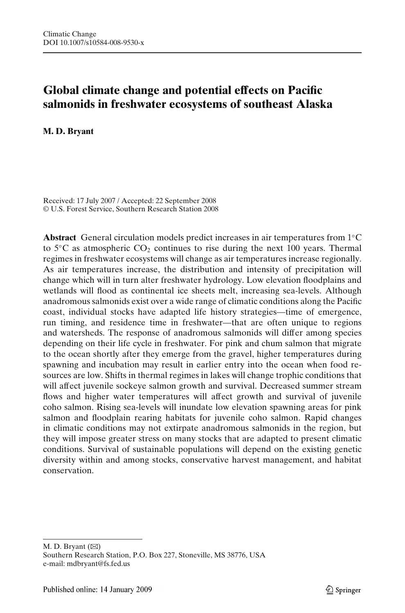# **Global climate change and potential effects on Pacific salmonids in freshwater ecosystems of southeast Alaska**

# **M. D. Bryant**

Received: 17 July 2007 / Accepted: 22 September 2008 © U.S. Forest Service, Southern Research Station 2008

**Abstract** General circulation models predict increases in air temperatures from 1◦C to  $5^{\circ}$ C as atmospheric CO<sub>2</sub> continues to rise during the next 100 years. Thermal regimes in freshwater ecosystems will change as air temperatures increase regionally. As air temperatures increase, the distribution and intensity of precipitation will change which will in turn alter freshwater hydrology. Low elevation floodplains and wetlands will flood as continental ice sheets melt, increasing sea-levels. Although anadromous salmonids exist over a wide range of climatic conditions along the Pacific coast, individual stocks have adapted life history strategies—time of emergence, run timing, and residence time in freshwater—that are often unique to regions and watersheds. The response of anadromous salmonids will differ among species depending on their life cycle in freshwater. For pink and chum salmon that migrate to the ocean shortly after they emerge from the gravel, higher temperatures during spawning and incubation may result in earlier entry into the ocean when food resources are low. Shifts in thermal regimes in lakes will change trophic conditions that will affect juvenile sockeye salmon growth and survival. Decreased summer stream flows and higher water temperatures will affect growth and survival of juvenile coho salmon. Rising sea-levels will inundate low elevation spawning areas for pink salmon and floodplain rearing habitats for juvenile coho salmon. Rapid changes in climatic conditions may not extirpate anadromous salmonids in the region, but they will impose greater stress on many stocks that are adapted to present climatic conditions. Survival of sustainable populations will depend on the existing genetic diversity within and among stocks, conservative harvest management, and habitat conservation.

M. D. Bryant  $(\boxtimes)$ Southern Research Station, P.O. Box 227, Stoneville, MS 38776, USA e-mail: mdbryant@fs.fed.us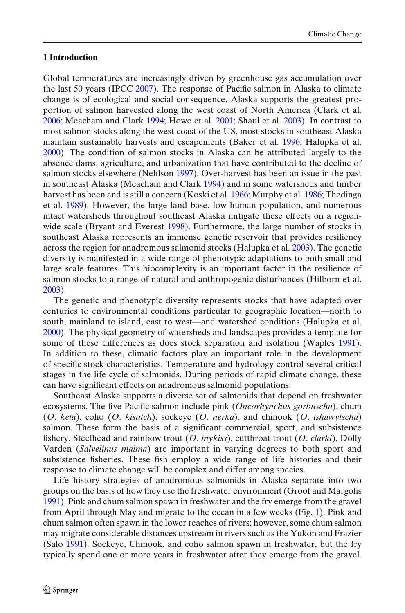## **1 Introduction**

Global temperatures are increasingly driven by greenhouse gas accumulation over the last 50 years (IPC[C](#page-21-0) [2007](#page-21-0)). The response of Pacific salmon in Alaska to climate change is of ecological and social consequence. Alaska supports the greatest proportion of salmon harvested along the west coast of North America (Clark et al[.](#page-19-0) [2006;](#page-19-0) Meacham and Clar[k](#page-21-0) [1994;](#page-21-0) Howe et al[.](#page-21-0) [2001](#page-21-0); Shaul et al[.](#page-23-0) [2003](#page-23-0)). In contrast to most salmon stocks along the west coast of the US, most stocks in southeast Alaska maintain sustainable harvests and escapements (Baker et al[.](#page-18-0) [1996;](#page-18-0) Halupka et al[.](#page-20-0) [2000\)](#page-20-0). The condition of salmon stocks in Alaska can be attributed largely to the absence dams, agriculture, and urbanization that have contributed to the decline of salmon stocks elsewhere (Nehlso[n](#page-22-0) [1997](#page-22-0)). Over-harvest has been an issue in the past in southeast Alaska (Meacham and Clar[k](#page-21-0) [1994](#page-21-0)) and in some watersheds and timber harvest has been and is still a concern (Koski et al[.](#page-21-0) [1966;](#page-21-0) Murphy et al[.](#page-22-0) [1986](#page-22-0); Thedinga et al[.](#page-23-0) [1989\)](#page-23-0). However, the large land base, low human population, and numerous intact watersheds throughout southeast Alaska mitigate these effects on a regionwide scale (Bryan[t](#page-19-0) and Everest [1998\)](#page-19-0). Furthermore, the large number of stocks in southeast Alaska represents an immense genetic reservoir that provides resiliency across the region for anadromous salmonid stocks (Halupka et al[.](#page-20-0) [2003](#page-20-0)). The genetic diversity is manifested in a wide range of phenotypic adaptations to both small and large scale features. This biocomplexity is an important factor in the resilience of salmon stocks to a range of natural and anthropogenic disturbances (Hilborn et al[.](#page-20-0) [2003\)](#page-20-0).

The genetic and phenotypic diversity represents stocks that have adapted over centuries to environmental conditions particular to geographic location—north to south, mainland to island, east to west—and watershed conditions (Halupka et al[.](#page-20-0) [2000\)](#page-20-0). The physical geometry of watersheds and landscapes provides a template for some of these differences as does stock separation and isolation (Waple[s](#page-23-0) [1991\)](#page-23-0). In addition to these, climatic factors play an important role in the development of specific stock characteristics. Temperature and hydrology control several critical stages in the life cycle of salmonids. During periods of rapid climate change, these can have significant effects on anadromous salmonid populations.

Southeast Alaska supports a diverse set of salmonids that depend on freshwater ecosystems. The five Pacific salmon include pink (*Oncorhynchus gorbuscha*), chum (*O*. *keta*), coho (*O*. *kisutch*), sockeye (*O*. *nerka*), and chinook (*O*. *tshawytscha*) salmon. These form the basis of a significant commercial, sport, and subsistence fishery. Steelhead and rainbow trout (*O*. *mykiss*), cutthroat trout (*O*. *clarki*), Dolly Varden (*Salvelinus malma*) are important in varying degrees to both sport and subsistence fisheries. These fish employ a wide range of life histories and their response to climate change will be complex and differ among species.

Life history strategies of anadromous salmonids in Alaska separate into two groups on the basis of how they use the freshwater environment (Groot and Margoli[s](#page-20-0) [1991\)](#page-20-0). Pink and chum salmon spawn in freshwater and the fry emerge from the gravel from April through May and migrate to the ocean in a few weeks (Fig. [1\)](#page-2-0). Pink and chum salmon often spawn in the lower reaches of rivers; however, some chum salmon may migrate considerable distances upstream in rivers such as the Yukon and Frazier (Sal[o](#page-22-0) [1991\)](#page-22-0). Sockeye, Chinook, and coho salmon spawn in freshwater, but the fry typically spend one or more years in freshwater after they emerge from the gravel.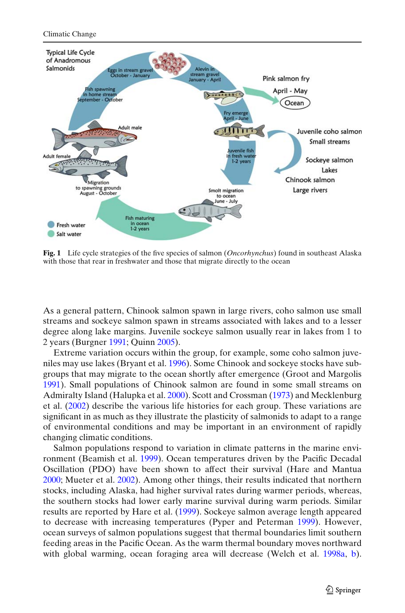<span id="page-2-0"></span>

**Fig. 1** Life cycle strategies of the five species of salmon (*Oncorhynchus*) found in southeast Alaska with those that rear in freshwater and those that migrate directly to the ocean

As a general pattern, Chinook salmon spawn in large rivers, coho salmon use small streams and sockeye salmon spawn in streams associated with lakes and to a lesser degree along lake margins. Juvenile sockeye salmon usually rear in lakes from 1 to 2 years (Burgne[r](#page-19-0) [1991](#page-19-0); Quin[n](#page-22-0) [2005\)](#page-22-0).

Extreme variation occurs within the group, for example, some coho salmon juveniles may use lakes (Bryant et al[.](#page-19-0) [1996\)](#page-19-0). Some Chinook and sockeye stocks have subgroups that may migrate to the ocean shortly after emergence (Groot and Margoli[s](#page-20-0) [1991\)](#page-20-0). Small populations of Chinook salmon are found in some small streams on Admiralty Island (Halupka et al[.](#page-20-0) [2000\)](#page-20-0). Scott and Crossma[n](#page-23-0) [\(1973\)](#page-23-0) and Mecklenburg et al[.](#page-21-0) [\(2002](#page-21-0)) describe the various life histories for each group. These variations are significant in as much as they illustrate the plasticity of salmonids to adapt to a range of environmental conditions and may be important in an environment of rapidly changing climatic conditions.

Salmon populations respond to variation in climate patterns in the marine environment (Beamish et al[.](#page-18-0) [1999](#page-18-0)). Ocean temperatures driven by the Pacific Decadal Oscillation (PDO) have been shown to affect their survival (Hare and Mantu[a](#page-20-0) [2000;](#page-20-0) Mueter et al[.](#page-21-0) [2002\)](#page-21-0). Among other things, their results indicated that northern stocks, including Alaska, had higher survival rates during warmer periods, whereas, the southern stocks had lower early marine survival during warm periods. Similar results are reported by Hare et al[.](#page-20-0) [\(1999\)](#page-20-0). Sockeye salmon average length appeared to decrease with increasing temperatures (Pyper and Peterma[n](#page-22-0) [1999\)](#page-22-0). However, ocean surveys of salmon populations suggest that thermal boundaries limit southern feeding areas in the Pacific Ocean. As the warm thermal boundary moves northward with global warming, ocean foraging area will decrease (Welch et al. [1998a,](#page-24-0) [b\)](#page-24-0).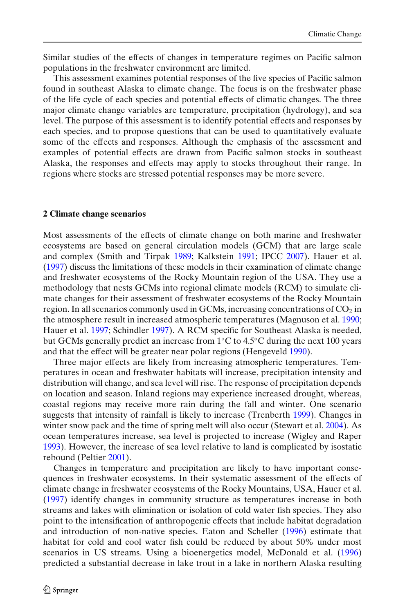Similar studies of the effects of changes in temperature regimes on Pacific salmon populations in the freshwater environment are limited.

This assessment examines potential responses of the five species of Pacific salmon found in southeast Alaska to climate change. The focus is on the freshwater phase of the life cycle of each species and potential effects of climatic changes. The three major climate change variables are temperature, precipitation (hydrology), and sea level. The purpose of this assessment is to identify potential effects and responses by each species, and to propose questions that can be used to quantitatively evaluate some of the effects and responses. Although the emphasis of the assessment and examples of potential effects are drawn from Pacific salmon stocks in southeast Alaska, the responses and effects may apply to stocks throughout their range. In regions where stocks are stressed potential responses may be more severe.

#### **2 Climate change scenarios**

Most assessments of the effects of climate change on both marine and freshwater ecosystems are based on general circulation models (GCM) that are large scale and complex (Smith and Tirpa[k](#page-23-0) [1989;](#page-23-0) Kalkstei[n](#page-21-0) [1991](#page-21-0); IPC[C](#page-21-0) [2007](#page-21-0)). Hauer et al[.](#page-20-0) [\(1997](#page-20-0)) discuss the limitations of these models in their examination of climate change and freshwater ecosystems of the Rocky Mountain region of the USA. They use a methodology that nests GCMs into regional climate models (RCM) to simulate climate changes for their assessment of freshwater ecosystems of the Rocky Mountain region. In all scenarios commonly used in GCMs, increasing concentrations of  $CO<sub>2</sub>$  in the atmosphere result in increased atmospheric temperatures (Magnuson et al[.](#page-21-0) [1990](#page-21-0); Hauer et al[.](#page-20-0) [1997;](#page-20-0) Schindle[r](#page-23-0) [1997](#page-23-0)). A RCM specific for Southeast Alaska is needed, but GCMs generally predict an increase from 1◦C to 4.5◦C during the next 100 years and that the effect will be greater near polar regions (Hengevel[d](#page-20-0) [1990](#page-20-0)).

Three major effects are likely from increasing atmospheric temperatures. Temperatures in ocean and freshwater habitats will increase, precipitation intensity and distribution will change, and sea level will rise. The response of precipitation depends on location and season. Inland regions may experience increased drought, whereas, coastal regions may receive more rain during the fall and winter. One scenario suggests that intensity of rainfall is likely to increase (Trenbert[h](#page-23-0) [1999](#page-23-0)). Changes in winter snow pack and the time of spring melt will also occur (Stewart et al[.](#page-23-0) [2004\)](#page-23-0). As ocean temperatures increase, sea level is projected to increase (Wigley and Rape[r](#page-24-0) [1993\)](#page-24-0). However, the increase of sea level relative to land is complicated by isostatic rebound (Peltie[r](#page-22-0) [2001\)](#page-22-0).

Changes in temperature and precipitation are likely to have important consequences in freshwater ecosystems. In their systematic assessment of the effects of climate change in freshwater ecosystems of the Rocky Mountains, USA, Hauer et al[.](#page-20-0) [\(1997](#page-20-0)) identify changes in community structure as temperatures increase in both streams and lakes with elimination or isolation of cold water fish species. They also point to the intensification of anthropogenic effects that include habitat degradation and introduction of non-native species. Eaton and Schelle[r](#page-19-0) [\(1996](#page-19-0)) estimate that habitat for cold and cool water fish could be reduced by about 50% under most scenarios in US streams. Using a bioenergetics model, McDonald et al[.](#page-21-0) [\(1996\)](#page-21-0) predicted a substantial decrease in lake trout in a lake in northern Alaska resulting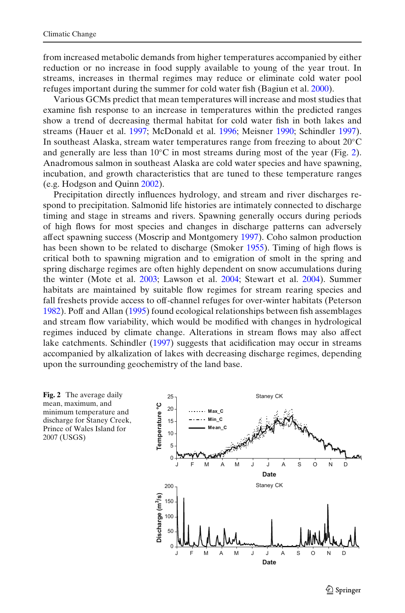<span id="page-4-0"></span>from increased metabolic demands from higher temperatures accompanied by either reduction or no increase in food supply available to young of the year trout. In streams, increases in thermal regimes may reduce or eliminate cold water pool refuges important during the summer for cold water fish (Bagiun et al[.](#page-18-0) [2000\)](#page-18-0).

Various GCMs predict that mean temperatures will increase and most studies that examine fish response to an increase in temperatures within the predicted ranges show a trend of decreasing thermal habitat for cold water fish in both lakes and streams (Hauer et al[.](#page-20-0) [1997](#page-20-0); McDonald et al[.](#page-21-0) [1996;](#page-21-0) Meisne[r](#page-21-0) [1990](#page-21-0); Schindle[r](#page-23-0) [1997\)](#page-23-0). In southeast Alaska, stream water temperatures range from freezing to about 20◦C and generally are less than  $10°C$  in most streams during most of the year (Fig. 2). Anadromous salmon in southeast Alaska are cold water species and have spawning, incubation, and growth characteristics that are tuned to these temperature ranges (e.g. Hodgson and Quin[n](#page-20-0) [2002](#page-20-0)).

Precipitation directly influences hydrology, and stream and river discharges respond to precipitation. Salmonid life histories are intimately connected to discharge timing and stage in streams and rivers. Spawning generally occurs during periods of high flows for most species and changes in discharge patterns can adversely affect spawning success (Moscrip and Montgomer[y](#page-21-0) [1997](#page-21-0)). Coho salmon production has been shown to be [r](#page-23-0)elated to discharge (Smoker [1955\)](#page-23-0). Timing of high flows is critical both to spawning migration and to emigration of smolt in the spring and spring discharge regimes are often highly dependent on snow accumulations during the winter (Mote et al[.](#page-21-0) [2003;](#page-21-0) Lawson et al[.](#page-21-0) [2004](#page-21-0); Stewart et al[.](#page-23-0) [2004](#page-23-0)). Summer habitats are maintained by suitable flow regimes for stream rearing species and fall freshets provide access to off-channel refuges for over-winter habitats (Peterso[n](#page-22-0) [1982\)](#page-22-0). Poff and Alla[n](#page-22-0) [\(1995\)](#page-22-0) found ecological relationships between fish assemblages and stream flow variability, which would be modified with changes in hydrological regimes induced by climate change. Alterations in stream flows may also affect lake catchments. Schindle[r](#page-23-0) [\(1997](#page-23-0)) suggests that acidification may occur in streams accompanied by alkalization of lakes with decreasing discharge regimes, depending upon the surrounding geochemistry of the land base.

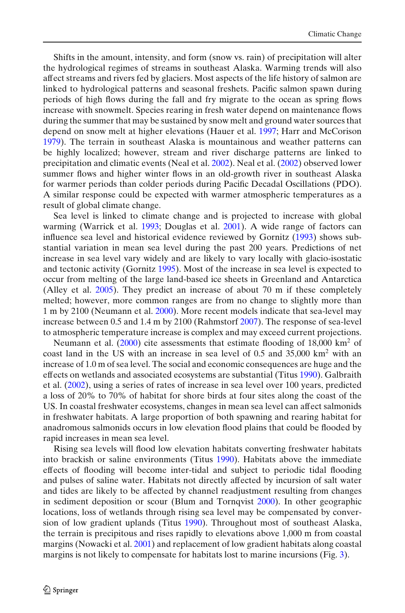Shifts in the amount, intensity, and form (snow vs. rain) of precipitation will alter the hydrological regimes of streams in southeast Alaska. Warming trends will also affect streams and rivers fed by glaciers. Most aspects of the life history of salmon are linked to hydrological patterns and seasonal freshets. Pacific salmon spawn during periods of high flows during the fall and fry migrate to the ocean as spring flows increase with snowmelt. Species rearing in fresh water depend on maintenance flows during the summer that may be sustained by snow melt and ground water sources that depend on snow melt at higher elevations (Hauer et al[.](#page-20-0) [1997](#page-20-0); Harr and McCoriso[n](#page-20-0) [1979\)](#page-20-0). The terrain in southeast Alaska is mountainous and weather patterns can be highly localized; however, stream and river discharge patterns are linked to precipitation and climatic events (Neal et al[.](#page-22-0) [2002\)](#page-22-0). Neal et al[.](#page-22-0) [\(2002\)](#page-22-0) observed lower summer flows and higher winter flows in an old-growth river in southeast Alaska for warmer periods than colder periods during Pacific Decadal Oscillations (PDO). A similar response could be expected with warmer atmospheric temperatures as a result of global climate change.

Sea level is linked to climate change and is projected to increase with global warming (Warrick et al[.](#page-19-0) [1993;](#page-24-0) Douglas et al. [2001\)](#page-19-0). A wide range of factors can influence sea level and historical evidence reviewed by Gornit[z](#page-20-0) [\(1993\)](#page-20-0) shows substantial variation in mean sea level during the past 200 years. Predictions of net increase in sea level vary widely and are likely to vary locally with glacio-isostatic and tectonic activity (Gornit[z](#page-20-0) [1995\)](#page-20-0). Most of the increase in sea level is expected to occur from melting of the large land-based ice sheets in Greenland and Antarctica (Alley et al[.](#page-18-0) [2005\)](#page-18-0). They predict an increase of about 70 m if these completely melted; however, more common ranges are from no change to slightly more than 1 m by 2100 (Neumann et al[.](#page-22-0) [2000\)](#page-22-0). More recent models indicate that sea-level may increase between 0.5 and 1.4 m by 2100 (Rahmstor[f](#page-22-0) [2007\)](#page-22-0). The response of sea-level to atmospheric temperature increase is complex and may exceed current projections.

Neumann et al[.](#page-22-0)  $(2000)$  $(2000)$  cite assessments that estimate flooding of 18,000 km<sup>2</sup> of coast land in the US with an increase in sea level of  $0.5$  and  $35,000$  km<sup>2</sup> with an increase of 1.0 m of sea level. The social and economic consequences are huge and the effects on wetlands and associated ecosystems are substantial (Titu[s](#page-23-0) [1990](#page-23-0)). Galbraith et al[.](#page-20-0) [\(2002](#page-20-0)), using a series of rates of increase in sea level over 100 years, predicted a loss of 20% to 70% of habitat for shore birds at four sites along the coast of the US. In coastal freshwater ecosystems, changes in mean sea level can affect salmonids in freshwater habitats. A large proportion of both spawning and rearing habitat for anadromous salmonids occurs in low elevation flood plains that could be flooded by rapid increases in mean sea level.

Rising sea levels will flood low elevation habitats converting freshwater habitats into brackish or saline environments (Titu[s](#page-23-0) [1990](#page-23-0)). Habitats above the immediate effects of flooding will become inter-tidal and subject to periodic tidal flooding and pulses of saline water. Habitats not directly affected by incursion of salt water and tides are likely to be affected by channel readjustment resulting from changes in sediment deposition or scour (Blum and Tornqvis[t](#page-19-0) [2000](#page-19-0)). In other geographic locations, loss of wetlands through rising sea level may be compensated by conversion of low gradient uplands (Titu[s](#page-23-0) [1990](#page-23-0)). Throughout most of southeast Alaska, the terrain is precipitous and rises rapidly to elevations above 1,000 m from coastal margins (Nowacki et al[.](#page-22-0) [2001\)](#page-22-0) and replacement of low gradient habitats along coastal margins is not likely to compensate for habitats lost to marine incursions (Fig. [3\)](#page-6-0).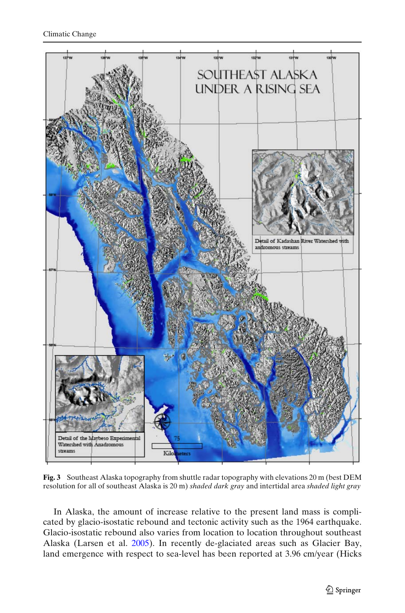<span id="page-6-0"></span>

**Fig. 3** Southeast Alaska topography from shuttle radar topography with elevations 20 m (best DEM resolution for all of southeast Alaska is 20 m) *shaded dark gray* and intertidal area *shaded light gray*

In Alaska, the amount of increase relative to the present land mass is complicated by glacio-isostatic rebound and tectonic activity such as the 1964 earthquake. Glacio-isostatic rebound also varies from location to location throughout southeast Alaska (Larsen et al[.](#page-21-0) [2005\)](#page-21-0). In recently de-glaciated areas such as Glacier Bay, land emergence with respect to sea-level has been reported at 3.96 cm/year (Hicks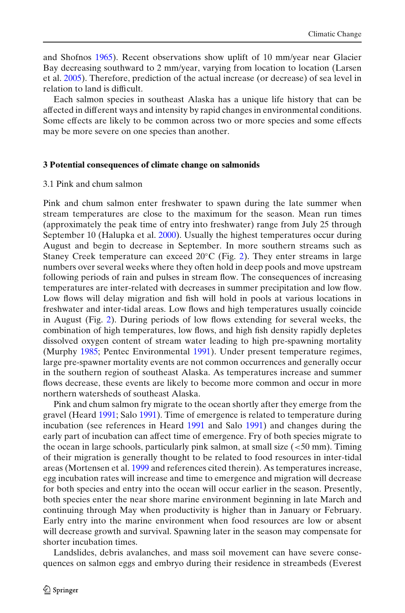and Shofno[s](#page-20-0) [1965](#page-20-0)). Recent observations show uplift of 10 mm/year near Glacier Bay decreasing southward to 2 mm/year, varying from location to location (Larsen et al[.](#page-21-0) [2005](#page-21-0)). Therefore, prediction of the actual increase (or decrease) of sea level in relation to land is difficult.

Each salmon species in southeast Alaska has a unique life history that can be affected in different ways and intensity by rapid changes in environmental conditions. Some effects are likely to be common across two or more species and some effects may be more severe on one species than another.

#### **3 Potential consequences of climate change on salmonids**

#### 3.1 Pink and chum salmon

Pink and chum salmon enter freshwater to spawn during the late summer when stream temperatures are close to the maximum for the season. Mean run times (approximately the peak time of entry into freshwater) range from July 25 through September 10 (Halupka et al[.](#page-20-0) [2000](#page-20-0)). Usually the highest temperatures occur during August and begin to decrease in September. In more southern streams such as Staney Creek temperature can exceed  $20\degree$ C (Fig. [2\)](#page-4-0). They enter streams in large numbers over several weeks where they often hold in deep pools and move upstream following periods of rain and pulses in stream flow. The consequences of increasing temperatures are inter-related with decreases in summer precipitation and low flow. Low flows will delay migration and fish will hold in pools at various locations in freshwater and inter-tidal areas. Low flows and high temperatures usually coincide in August (Fig. [2\)](#page-4-0). During periods of low flows extending for several weeks, the combination of high temperatures, low flows, and high fish density rapidly depletes dissolved oxygen content of stream water leading to high pre-spawning mortality (Murph[y](#page-22-0) [1985](#page-22-0); Pentec Environmenta[l](#page-22-0) [1991\)](#page-22-0). Under present temperature regimes, large pre-spawner mortality events are not common occurrences and generally occur in the southern region of southeast Alaska. As temperatures increase and summer flows decrease, these events are likely to become more common and occur in more northern watersheds of southeast Alaska.

Pink and chum salmon fry migrate to the ocean shortly after they emerge from the gravel (Hear[d](#page-20-0) [1991](#page-20-0); Sal[o](#page-22-0) [1991](#page-22-0)). Time of emergence is related to temperature during incubation (see references in Heard [1991](#page-20-0) and Salo [1991\)](#page-22-0) and changes during the early part of incubation can affect time of emergence. Fry of both species migrate to the ocean in large schools, particularly pink salmon, at small size  $(<50$  mm). Timing of their migration is generally thought to be related to food resources in inter-tidal areas (Mortensen et al. [1999](#page-21-0) and references cited therein). As temperatures increase, egg incubation rates will increase and time to emergence and migration will decrease for both species and entry into the ocean will occur earlier in the season. Presently, both species enter the near shore marine environment beginning in late March and continuing through May when productivity is higher than in January or February. Early entry into the marine environment when food resources are low or absent will decrease growth and survival. Spawning later in the season may compensate for shorter incubation times.

Landslides, debris avalanches, and mass soil movement can have severe consequences on salmon eggs and embryo during their residence in streambeds (Everest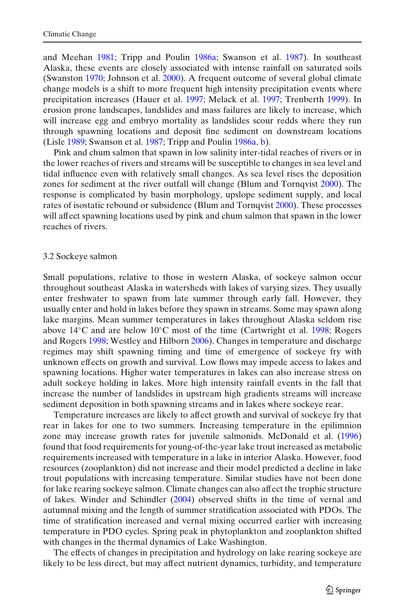and Meeha[n](#page-20-0) [1981](#page-20-0); Tripp and Pouli[n](#page-23-0) [1986a;](#page-23-0) Swanson et al[.](#page-23-0) [1987](#page-23-0)). In southeast Alaska, these events are closely associated with intense rainfall on saturated soils (Swansto[n](#page-23-0) [1970;](#page-23-0) Johnson et al[.](#page-21-0) [2000\)](#page-21-0). A frequent outcome of several global climate change models is a shift to more frequent high intensity precipitation events where precipitation increases (Hauer et al[.](#page-20-0) [1997;](#page-20-0) Melack et al[.](#page-21-0) [1997;](#page-21-0) Trenbert[h](#page-23-0) [1999](#page-23-0)). In erosion prone landscapes, landslides and mass failures are likely to increase, which will increase egg and embryo mortality as landslides scour redds where they run through spawning locations and deposit fine sediment on downstream locations (Lisle [1989;](#page-21-0) Swanson et al. [1987;](#page-23-0) Tripp and Poulin [1986a](#page-23-0), [b\)](#page-23-0).

Pink and chum salmon that spawn in low salinity inter-tidal reaches of rivers or in the lower reaches of rivers and streams will be susceptible to changes in sea level and tidal influence even with relatively small changes. As sea level rises the deposition zones for sediment at the river outfall will change (Blum and Tornqvis[t](#page-19-0) [2000](#page-19-0)). The response is complicated by basin morphology, upslope sediment supply, and local ra[t](#page-19-0)es of isostatic rebound or subsidence (Blum and Tornqvist [2000](#page-19-0)). These processes will affect spawning locations used by pink and chum salmon that spawn in the lower reaches of rivers.

#### 3.2 Sockeye salmon

Small populations, relative to those in western Alaska, of sockeye salmon occur throughout southeast Alaska in watersheds with lakes of varying sizes. They usually enter freshwater to spawn from late summer through early fall. However, they usually enter and hold in lakes before they spawn in streams. Some may spawn along lake margins. Mean summer temperatures in lakes throughout Alaska seldom rise above 14◦C and are below 10◦C most of the time (Cartwright et al[.](#page-19-0) [1998](#page-19-0); Rogers and Roger[s](#page-22-0) [1998](#page-22-0); Westley and Hilbor[n](#page-24-0) [2006\)](#page-24-0). Changes in temperature and discharge regimes may shift spawning timing and time of emergence of sockeye fry with unknown effects on growth and survival. Low flows may impede access to lakes and spawning locations. Higher water temperatures in lakes can also increase stress on adult sockeye holding in lakes. More high intensity rainfall events in the fall that increase the number of landslides in upstream high gradients streams will increase sediment deposition in both spawning streams and in lakes where sockeye rear.

Temperature increases are likely to affect growth and survival of sockeye fry that rear in lakes for one to two summers. Increasing temperature in the epilimnion zone may increase growth rates for juvenile salmonids. McDonald et al[.](#page-21-0) [\(1996\)](#page-21-0) found that food requirements for young-of-the-year lake trout increased as metabolic requirements increased with temperature in a lake in interior Alaska. However, food resources (zooplankton) did not increase and their model predicted a decline in lake trout populations with increasing temperature. Similar studies have not been done for lake rearing sockeye salmon. Climate changes can also affect the trophic structure of lakes. Winder and Schindle[r](#page-24-0) [\(2004\)](#page-24-0) observed shifts in the time of vernal and autumnal mixing and the length of summer stratification associated with PDOs. The time of stratification increased and vernal mixing occurred earlier with increasing temperature in PDO cycles. Spring peak in phytoplankton and zooplankton shifted with changes in the thermal dynamics of Lake Washington.

The effects of changes in precipitation and hydrology on lake rearing sockeye are likely to be less direct, but may affect nutrient dynamics, turbidity, and temperature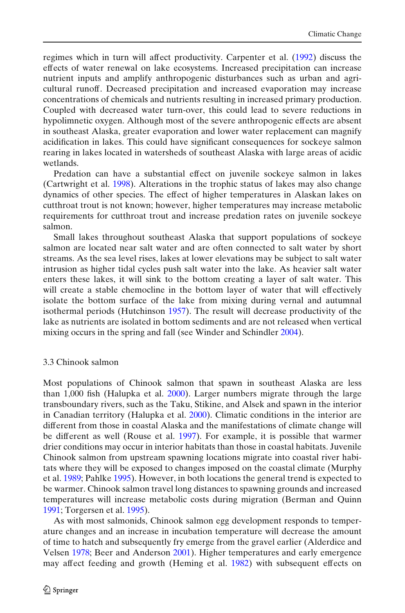regimes which in turn will affect productivity. Carpenter et al[.](#page-19-0) [\(1992\)](#page-19-0) discuss the effects of water renewal on lake ecosystems. Increased precipitation can increase nutrient inputs and amplify anthropogenic disturbances such as urban and agricultural runoff. Decreased precipitation and increased evaporation may increase concentrations of chemicals and nutrients resulting in increased primary production. Coupled with decreased water turn-over, this could lead to severe reductions in hypolimnetic oxygen. Although most of the severe anthropogenic effects are absent in southeast Alaska, greater evaporation and lower water replacement can magnify acidification in lakes. This could have significant consequences for sockeye salmon rearing in lakes located in watersheds of southeast Alaska with large areas of acidic wetlands.

Predation can have a substantial effect on juvenile sockeye salmon in lakes (Cartwright et al[.](#page-19-0) [1998](#page-19-0)). Alterations in the trophic status of lakes may also change dynamics of other species. The effect of higher temperatures in Alaskan lakes on cutthroat trout is not known; however, higher temperatures may increase metabolic requirements for cutthroat trout and increase predation rates on juvenile sockeye salmon.

Small lakes throughout southeast Alaska that support populations of sockeye salmon are located near salt water and are often connected to salt water by short streams. As the sea level rises, lakes at lower elevations may be subject to salt water intrusion as higher tidal cycles push salt water into the lake. As heavier salt water enters these lakes, it will sink to the bottom creating a layer of salt water. This will create a stable chemocline in the bottom layer of water that will effectively isolate the bottom surface of the lake from mixing during vernal and autumnal isothermal periods (Hutchinso[n](#page-21-0) [1957\)](#page-21-0). The result will decrease productivity of the lake as nutrients are isolated in bottom sediments and are not released when vertical mixing occu[r](#page-24-0)s in the spring and fall (see Winder and Schindler [2004\)](#page-24-0).

## 3.3 Chinook salmon

Most populations of Chinook salmon that spawn in southeast Alaska are less than 1,000 fish (Halupka et al[.](#page-20-0) [2000\)](#page-20-0). Larger numbers migrate through the large transboundary rivers, such as the Taku, Stikine, and Alsek and spawn in the interior in Canadian territory (Halupka et al[.](#page-20-0) [2000](#page-20-0)). Climatic conditions in the interior are different from those in coastal Alaska and the manifestations of climate change will be different as well (Rouse et al[.](#page-22-0) [1997\)](#page-22-0). For example, it is possible that warmer drier conditions may occur in interior habitats than those in coastal habitats. Juvenile Chinook salmon from upstream spawning locations migrate into coastal river habitats where they will be exposed to changes imposed on the coastal climate (Murphy et al[.](#page-22-0) [1989;](#page-22-0) Pahlk[e](#page-22-0) [1995](#page-22-0)). However, in both locations the general trend is expected to be warmer. Chinook salmon travel long distances to spawning grounds and increased temperatures will increase metabolic costs during migration (Berman and Quin[n](#page-19-0) [1991;](#page-19-0) Torgersen et al[.](#page-23-0) [1995\)](#page-23-0).

As with most salmonids, Chinook salmon egg development responds to temperature changes and an increase in incubation temperature will decrease the amount of time to hatch and subsequently fry emerge from the gravel earlier (Alderdice and Velse[n](#page-18-0) [1978](#page-18-0); Beer and Anderso[n](#page-19-0) [2001](#page-19-0)). Higher temperatures and early emergence may affect feeding and growth (Heming et al[.](#page-20-0) [1982](#page-20-0)) with subsequent effects on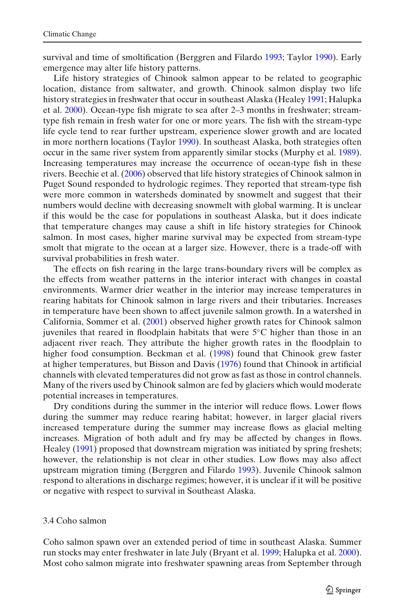survival and time of smoltification (Berggren and Filard[o](#page-19-0) [1993;](#page-19-0) Taylo[r](#page-23-0) [1990](#page-23-0)). Early emergence may alter life history patterns.

Life history strategies of Chinook salmon appear to be related to geographic location, distance from saltwater, and growth. Chinook salmon display two life history strategies in freshwater that occur in southeast Alaska (Heale[y](#page-20-0) [1991](#page-20-0); Halupka et al[.](#page-20-0) [2000](#page-20-0)). Ocean-type fish migrate to sea after 2–3 months in freshwater; streamtype fish remain in fresh water for one or more years. The fish with the stream-type life cycle tend to rear further upstream, experience slower growth and are located in more northern locations (Taylo[r](#page-23-0) [1990](#page-23-0)). In southeast Alaska, both strategies often occur in the same river system from apparently similar stocks (Murphy et al[.](#page-22-0) [1989\)](#page-22-0). Increasing temperatures may increase the occurrence of ocean-type fish in these rivers. Beechie et al[.](#page-18-0) [\(2006](#page-18-0)) observed that life history strategies of Chinook salmon in Puget Sound responded to hydrologic regimes. They reported that stream-type fish were more common in watersheds dominated by snowmelt and suggest that their numbers would decline with decreasing snowmelt with global warming. It is unclear if this would be the case for populations in southeast Alaska, but it does indicate that temperature changes may cause a shift in life history strategies for Chinook salmon. In most cases, higher marine survival may be expected from stream-type smolt that migrate to the ocean at a larger size. However, there is a trade-off with survival probabilities in fresh water.

The effects on fish rearing in the large trans-boundary rivers will be complex as the effects from weather patterns in the interior interact with changes in coastal environments. Warmer drier weather in the interior may increase temperatures in rearing habitats for Chinook salmon in large rivers and their tributaries. Increases in temperature have been shown to affect juvenile salmon growth. In a watershed in California, Sommer et al[.](#page-23-0) [\(2001\)](#page-23-0) observed higher growth rates for Chinook salmon juveniles that reared in floodplain habitats that were 5◦C higher than those in an adjacent river reach. They attribute the higher growth rates in the floodplain to higher food consumption[.](#page-18-0) Beckman et al. [\(1998](#page-18-0)) found that Chinook grew faster at higher temperatures, but Bisson and Davi[s](#page-19-0) [\(1976](#page-19-0)) found that Chinook in artificial channels with elevated temperatures did not grow as fast as those in control channels. Many of the rivers used by Chinook salmon are fed by glaciers which would moderate potential increases in temperatures.

Dry conditions during the summer in the interior will reduce flows. Lower flows during the summer may reduce rearing habitat; however, in larger glacial rivers increased temperature during the summer may increase flows as glacial melting increases. Migration of both adult and fry may be affected by changes in flows. Heale[y](#page-20-0) [\(1991](#page-20-0)) proposed that downstream migration was initiated by spring freshets; however, the relationship is not clear in other studies. Low flows may also affect upstream migration timing (Berggren and Filard[o](#page-19-0) [1993](#page-19-0)). Juvenile Chinook salmon respond to alterations in discharge regimes; however, it is unclear if it will be positive or negative with respect to survival in Southeast Alaska.

#### 3.4 Coho salmon

Coho salmon spawn over an extended period of time in southeast Alaska. Summer run stocks may enter freshwater in late July (Bryant et al[.](#page-19-0) [1999;](#page-19-0) Halupka et al[.](#page-20-0) [2000\)](#page-20-0). Most coho salmon migrate into freshwater spawning areas from September through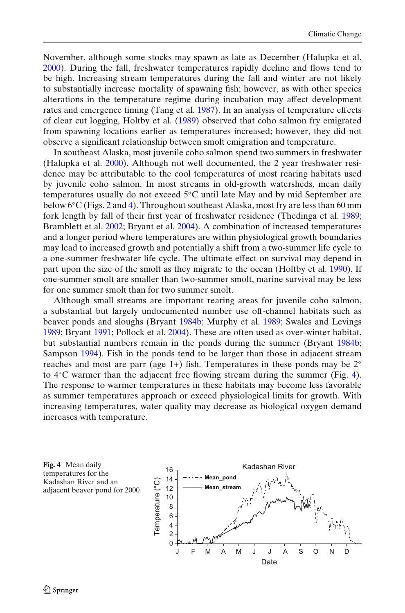November, although some stocks may spawn as late as December (Halupka et al[.](#page-20-0) [2000\)](#page-20-0). During the fall, freshwater temperatures rapidly decline and flows tend to be high. Increasing stream temperatures during the fall and winter are not likely to substantially increase mortality of spawning fish; however, as with other species alterations in the temperature regime during incubation may affect development rates and emergence timing (Tang et al[.](#page-23-0) [1987](#page-23-0)). In an analysis of temperature effects of clear cut logging, Holtby et al[.](#page-21-0) [\(1989\)](#page-21-0) observed that coho salmon fry emigrated from spawning locations earlier as temperatures increased; however, they did not observe a significant relationship between smolt emigration and temperature.

In southeast Alaska, most juvenile coho salmon spend two summers in freshwater (Halupka et al[.](#page-20-0) [2000\)](#page-20-0). Although not well documented, the 2 year freshwater residence may be attributable to the cool temperatures of most rearing habitats used by juvenile coho salmon. In most streams in old-growth watersheds, mean daily temperatures usually do not exceed 5◦C until late May and by mid September are below 6◦C (Figs. [2](#page-4-0) and 4). Throughout southeast Alaska, most fry are less than 60 mm fork length by fall of their first year of freshwater residence (Thedinga et al[.](#page-23-0) [1989](#page-23-0); Bramblett et al[.](#page-19-0) [2002](#page-19-0); Bryant et al[.](#page-19-0) [2004](#page-19-0)). A combination of increased temperatures and a longer period where temperatures are within physiological growth boundaries may lead to increased growth and potentially a shift from a two-summer life cycle to a one-summer freshwater life cycle. The ultimate effect on survival may depend in part upon the size of the smolt as they migrate to the ocean (Holtby et al[.](#page-21-0) [1990\)](#page-21-0). If one-summer smolt are smaller than two-summer smolt, marine survival may be less for one summer smolt than for two summer smolt.

Although small streams are important rearing areas for juvenile coho salmon, a substantial but largely undocumented number use off-channel habitats such as beaver ponds and sloughs (Bryan[t](#page-19-0) [1984b;](#page-19-0) Murphy et al[.](#page-22-0) [1989;](#page-22-0) Swales and Leving[s](#page-23-0) [1989;](#page-23-0) Bryan[t](#page-19-0) [1991;](#page-19-0) Pollock et al[.](#page-22-0) [2004\)](#page-22-0). These are often used as over-winter habitat, but substantial numbers remain in the ponds during the summer (Bryan[t](#page-19-0) [1984b](#page-19-0); Sampso[n](#page-23-0) [1994\)](#page-23-0). Fish in the ponds tend to be larger than those in adjacent stream reaches and most are parr (age 1+) fish. Temperatures in these ponds may be  $2^\circ$ to 4◦C warmer than the adjacent free flowing stream during the summer (Fig. 4). The response to warmer temperatures in these habitats may become less favorable as summer temperatures approach or exceed physiological limits for growth. With increasing temperatures, water quality may decrease as biological oxygen demand increases with temperature.

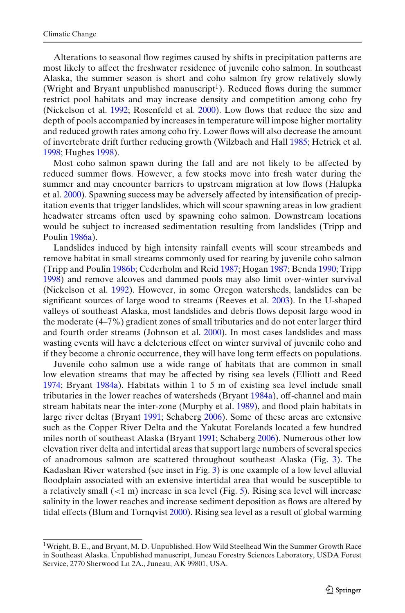Alterations to seasonal flow regimes caused by shifts in precipitation patterns are most likely to affect the freshwater residence of juvenile coho salmon. In southeast Alaska, the summer season is short and coho salmon fry grow relatively slowly (Wright and Bryant unpublished manuscript<sup>1</sup>). Reduced flows during the summer restrict pool habitats and may increase density and competition among coho fry (Nickelson et al[.](#page-22-0) [1992;](#page-22-0) Rosenfeld et al[.](#page-22-0) [2000](#page-22-0)). Low flows that reduce the size and depth of pools accompanied by increases in temperature will impose higher mortality and reduced growth rates among coho fry. Lower flows will also decrease the amount of invertebrate drift further reducing growth (Wilzbach and Hal[l](#page-24-0) [1985;](#page-24-0) Hetrick et al[.](#page-20-0) [1998;](#page-20-0) Hughe[s](#page-21-0) [1998\)](#page-21-0).

Most coho salmon spawn during the fall and are not likely to be affected by reduced summer flows. However, a few stocks move into fresh water during the summer and may encounter barriers to upstream migration at low flows (Halupka et al[.](#page-20-0) [2000](#page-20-0)). Spawning success may be adversely affected by intensification of precipitation events that trigger landslides, which will scour spawning areas in low gradient headwater streams often used by spawning coho salmon. Downstream locations would be subject to increased sedimentation resulting from landslides (Tripp and Pouli[n](#page-23-0) [1986a\)](#page-23-0).

Landslides induced by high intensity rainfall events will scour streambeds and remove habitat in small streams commonly used for rearing by juvenile coho salmon (Tripp and Pouli[n](#page-23-0) [1986b;](#page-23-0) Cederholm and Rei[d](#page-19-0) [1987;](#page-19-0) Hoga[n](#page-20-0) [1987](#page-20-0); Bend[a](#page-19-0) [1990;](#page-19-0) Trip[p](#page-23-0) [1998\)](#page-23-0) and remove alcoves and dammed pools may also limit over-winter survival (Nickelson et al[.](#page-22-0) [1992](#page-22-0)). However, in some Oregon watersheds, landslides can be significant sources of large wood to streams (Reeves et al[.](#page-22-0) [2003](#page-22-0)). In the U-shaped valleys of southeast Alaska, most landslides and debris flows deposit large wood in the moderate (4–7%) gradient zones of small tributaries and do not enter larger third and fourth order streams (Johnson et al[.](#page-21-0) [2000](#page-21-0)). In most cases landslides and mass wasting events will have a deleterious effect on winter survival of juvenile coho and if they become a chronic occurrence, they will have long term effects on populations.

Juvenile coho salmon use a wide range of habitats that are common in small low elevation streams that may be affected by rising sea levels (Elliott and Ree[d](#page-19-0) [1974;](#page-19-0) Bryan[t](#page-19-0) [1984a](#page-19-0)). Habitats within 1 to 5 m of existing sea level include small tributaries in the lower reaches of watersheds (Bryan[t](#page-19-0) [1984a\)](#page-19-0), off-channel and main stream habitats near the inter-zone (Murphy et al[.](#page-22-0) [1989\)](#page-22-0), and flood plain habitats in large river del[t](#page-19-0)as (Bryant [1991](#page-19-0); Schaber[g](#page-23-0) [2006\)](#page-23-0). Some of these areas are extensive such as the Copper River Delta and the Yakutat Forelands located a few hundred miles north of southeast Alaska (Bryan[t](#page-19-0) [1991](#page-19-0); Schaber[g](#page-23-0) [2006\)](#page-23-0). Numerous other low elevation river delta and intertidal areas that support large numbers of several species of anadromous salmon are scattered throughout southeast Alaska (Fig. [3\)](#page-6-0). The Kadashan River watershed (see inset in Fig. [3\)](#page-6-0) is one example of a low level alluvial floodplain associated with an extensive intertidal area that would be susceptible to a relatively small  $(<1$  m) increase in sea level (Fig. [5\)](#page-13-0). Rising sea level will increase salinity in the lower reaches and increase sediment deposition as flows are altered by tidal effects (Blum and Tornqvis[t](#page-19-0) [2000](#page-19-0)). Rising sea level as a result of global warming

<sup>&</sup>lt;sup>1</sup>Wright, B. E., and Bryant, M. D. Unpublished. How Wild Steelhead Win the Summer Growth Race in Southeast Alaska. Unpublished manuscript, Juneau Forestry Sciences Laboratory, USDA Forest Service, 2770 Sherwood Ln 2A., Juneau, AK 99801, USA.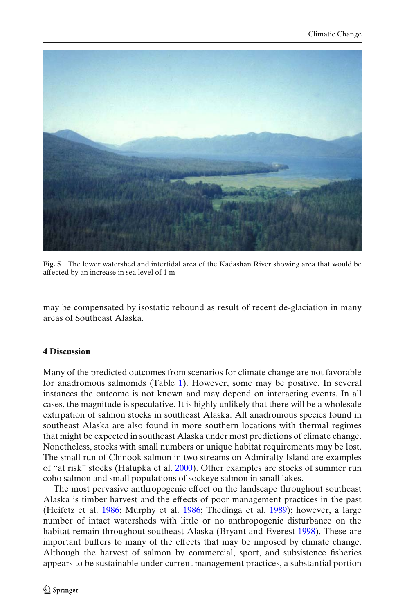<span id="page-13-0"></span>

**Fig. 5** The lower watershed and intertidal area of the Kadashan River showing area that would be affected by an increase in sea level of 1 m

may be compensated by isostatic rebound as result of recent de-glaciation in many areas of Southeast Alaska.

## **4 Discussion**

Many of the predicted outcomes from scenarios for climate change are not favorable for anadromous salmonids (Table [1\)](#page-14-0). However, some may be positive. In several instances the outcome is not known and may depend on interacting events. In all cases, the magnitude is speculative. It is highly unlikely that there will be a wholesale extirpation of salmon stocks in southeast Alaska. All anadromous species found in southeast Alaska are also found in more southern locations with thermal regimes that might be expected in southeast Alaska under most predictions of climate change. Nonetheless, stocks with small numbers or unique habitat requirements may be lost. The small run of Chinook salmon in two streams on Admiralty Island are examples of "at risk" stocks (Halupka et al[.](#page-20-0) [2000](#page-20-0)). Other examples are stocks of summer run coho salmon and small populations of sockeye salmon in small lakes.

The most pervasive anthropogenic effect on the landscape throughout southeast Alaska is timber harvest and the effects of poor management practices in the past (Heifetz et al[.](#page-20-0) [1986;](#page-20-0) Murphy et al[.](#page-22-0) [1986;](#page-22-0) Thedinga et al[.](#page-23-0) [1989\)](#page-23-0); however, a large number of intact watersheds with little or no anthropogenic disturbance on the habitat remain throughout southeast Alaska (Bryant and Everes[t](#page-19-0) [1998](#page-19-0)). These are important buffers to many of the effects that may be imposed by climate change. Although the harvest of salmon by commercial, sport, and subsistence fisheries appears to be sustainable under current management practices, a substantial portion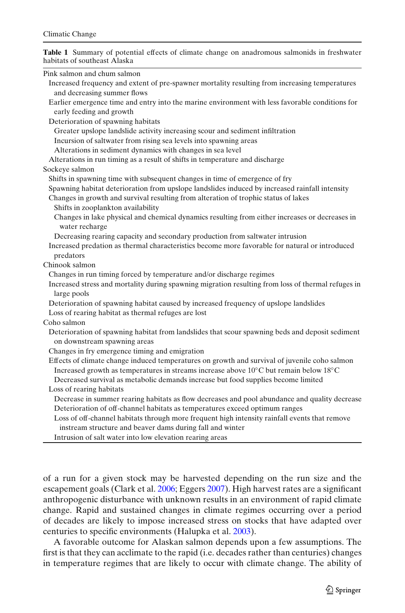<span id="page-14-0"></span>**Table 1** Summary of potential effects of climate change on anadromous salmonids in freshwater habitats of southeast Alaska

Pink salmon and chum salmon Increased frequency and extent of pre-spawner mortality resulting from increasing temperatures and decreasing summer flows Earlier emergence time and entry into the marine environment with less favorable conditions for early feeding and growth Deterioration of spawning habitats Greater upslope landslide activity increasing scour and sediment infiltration Incursion of saltwater from rising sea levels into spawning areas Alterations in sediment dynamics with changes in sea level Alterations in run timing as a result of shifts in temperature and discharge Sockeye salmon Shifts in spawning time with subsequent changes in time of emergence of fry Spawning habitat deterioration from upslope landslides induced by increased rainfall intensity Changes in growth and survival resulting from alteration of trophic status of lakes Shifts in zooplankton availability Changes in lake physical and chemical dynamics resulting from either increases or decreases in water recharge Decreasing rearing capacity and secondary production from saltwater intrusion Increased predation as thermal characteristics become more favorable for natural or introduced predators Chinook salmon Changes in run timing forced by temperature and/or discharge regimes Increased stress and mortality during spawning migration resulting from loss of thermal refuges in large pools Deterioration of spawning habitat caused by increased frequency of upslope landslides Loss of rearing habitat as thermal refuges are lost Coho salmon Deterioration of spawning habitat from landslides that scour spawning beds and deposit sediment on downstream spawning areas Changes in fry emergence timing and emigration Effects of climate change induced temperatures on growth and survival of juvenile coho salmon Increased growth as temperatures in streams increase above 10◦C but remain below 18◦C Decreased survival as metabolic demands increase but food supplies become limited Loss of rearing habitats Decrease in summer rearing habitats as flow decreases and pool abundance and quality decrease Deterioration of off-channel habitats as temperatures exceed optimum ranges Loss of off-channel habitats through more frequent high intensity rainfall events that remove instream structure and beaver dams during fall and winter Intrusion of salt water into low elevation rearing areas

of a run for a given stock may be harvested depending on the run size and the escapement goals (Clark et al[.](#page-19-0) [2006](#page-19-0); Egger[s](#page-19-0) [2007](#page-19-0)). High harvest rates are a significant anthropogenic disturbance with unknown results in an environment of rapid climate change. Rapid and sustained changes in climate regimes occurring over a period of decades are likely to impose increased stress on stocks that have adapted over centuries to specific environments (Halupka et al[.](#page-20-0) [2003](#page-20-0)).

A favorable outcome for Alaskan salmon depends upon a few assumptions. The first is that they can acclimate to the rapid (i.e. decades rather than centuries) changes in temperature regimes that are likely to occur with climate change. The ability of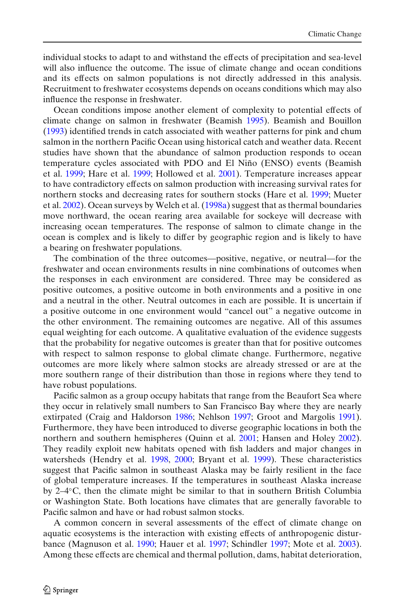individual stocks to adapt to and withstand the effects of precipitation and sea-level will also influence the outcome. The issue of climate change and ocean conditions and its effects on salmon populations is not directly addressed in this analysis. Recruitment to freshwater ecosystems depends on oceans conditions which may also influence the response in freshwater.

Ocean conditions impose another element of complexity to potential effects of climate change on salmon in freshwater (Beamis[h](#page-18-0) [1995](#page-18-0)). Beamish and Bouillo[n](#page-18-0) [\(1993](#page-18-0)) identified trends in catch associated with weather patterns for pink and chum salmon in the northern Pacific Ocean using historical catch and weather data. Recent studies have shown that the abundance of salmon production responds to ocean temperature cycles associated with PDO and El Niño (ENSO) events (Beamish et al[.](#page-18-0) [1999](#page-18-0); Hare et al[.](#page-20-0) [1999](#page-20-0); Hollowed et al[.](#page-20-0) [2001](#page-20-0)). Temperature increases appear to have contradictory effects on salmon production with increasing survival rates for northern stocks and decreasing rates for southern stocks (Hare et al[.](#page-20-0) [1999;](#page-20-0) Mueter et al[.](#page-21-0) [2002](#page-21-0)). Ocean surveys by Welch et al. [\(1998a](#page-24-0)) suggest that as thermal boundaries move northward, the ocean rearing area available for sockeye will decrease with increasing ocean temperatures. The response of salmon to climate change in the ocean is complex and is likely to differ by geographic region and is likely to have a bearing on freshwater populations.

The combination of the three outcomes—positive, negative, or neutral—for the freshwater and ocean environments results in nine combinations of outcomes when the responses in each environment are considered. Three may be considered as positive outcomes, a positive outcome in both environments and a positive in one and a neutral in the other. Neutral outcomes in each are possible. It is uncertain if a positive outcome in one environment would "cancel out" a negative outcome in the other environment. The remaining outcomes are negative. All of this assumes equal weighting for each outcome. A qualitative evaluation of the evidence suggests that the probability for negative outcomes is greater than that for positive outcomes with respect to salmon response to global climate change. Furthermore, negative outcomes are more likely where salmon stocks are already stressed or are at the more southern range of their distribution than those in regions where they tend to have robust populations.

Pacific salmon as a group occupy habitats that range from the Beaufort Sea where they occur in relatively small numbers to San Francisco Bay where they are nearly extirpated (Craig a[n](#page-22-0)d Haldorson [1986](#page-19-0); Nehlson [1997;](#page-22-0) Groot and Margoli[s](#page-20-0) [1991\)](#page-20-0). Furthermore, they have been introduced to diverse geographic locations in both the northern and southern hemispheres (Quinn et al[.](#page-22-0) [2001;](#page-22-0) Hansen and Hole[y](#page-20-0) [2002\)](#page-20-0). They readily exploit new habitats opened with fish ladders and major changes in watersheds (Hendry et al[.](#page-19-0) [1998,](#page-20-0) [2000;](#page-20-0) Bryant et al. [1999](#page-19-0)). These characteristics suggest that Pacific salmon in southeast Alaska may be fairly resilient in the face of global temperature increases. If the temperatures in southeast Alaska increase by 2–4◦C, then the climate might be similar to that in southern British Columbia or Washington State. Both locations have climates that are generally favorable to Pacific salmon and have or had robust salmon stocks.

A common concern in several assessments of the effect of climate change on aquatic ecosystems is the interaction with existing effects of anthropogenic disturbance (Magnuson et al[.](#page-21-0) [1990](#page-21-0); Hauer et al[.](#page-20-0) [1997;](#page-20-0) Schindle[r](#page-23-0) [1997;](#page-23-0) Mote et al[.](#page-21-0) [2003\)](#page-21-0). Among these effects are chemical and thermal pollution, dams, habitat deterioration,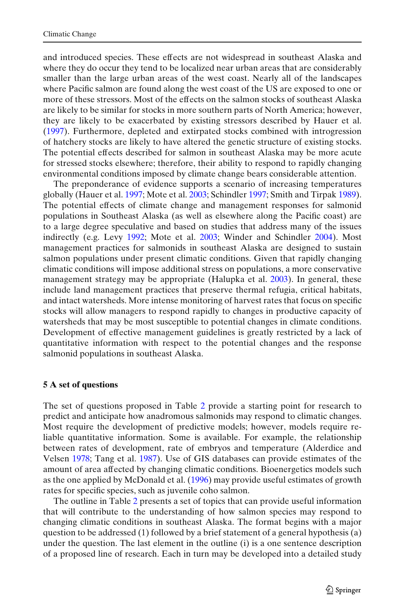and introduced species. These effects are not widespread in southeast Alaska and where they do occur they tend to be localized near urban areas that are considerably smaller than the large urban areas of the west coast. Nearly all of the landscapes where Pacific salmon are found along the west coast of the US are exposed to one or more of these stressors. Most of the effects on the salmon stocks of southeast Alaska are likely to be similar for stocks in more southern parts of North America; however, they are likely to be exacerbated by existing stressors described by Hauer et al[.](#page-20-0) [\(1997](#page-20-0)). Furthermore, depleted and extirpated stocks combined with introgression of hatchery stocks are likely to have altered the genetic structure of existing stocks. The potential effects described for salmon in southeast Alaska may be more acute for stressed stocks elsewhere; therefore, their ability to respond to rapidly changing environmental conditions imposed by climate change bears considerable attention.

The preponderance of evidence supports a scenario of increasing temperatures globally (Hauer et al[.](#page-20-0) [1997;](#page-20-0) Mote et al[.](#page-21-0) [2003](#page-21-0); Schindle[r](#page-23-0) [1997](#page-23-0); Smith and Tirpa[k](#page-23-0) [1989\)](#page-23-0). The potential effects of climate change and management responses for salmonid populations in Southeast Alaska (as well as elsewhere along the Pacific coast) are to a large degree speculative and based on studies that address many of the issues indirectly (e.g. Lev[y](#page-21-0) [1992;](#page-21-0) Mote et al[.](#page-21-0) [2003](#page-21-0); Winder and Schindle[r](#page-24-0) [2004\)](#page-24-0). Most management practices for salmonids in southeast Alaska are designed to sustain salmon populations under present climatic conditions. Given that rapidly changing climatic conditions will impose additional stress on populations, a more conservative management strategy may be appropriate (Halupka et al[.](#page-20-0) [2003\)](#page-20-0). In general, these include land management practices that preserve thermal refugia, critical habitats, and intact watersheds. More intense monitoring of harvest rates that focus on specific stocks will allow managers to respond rapidly to changes in productive capacity of watersheds that may be most susceptible to potential changes in climate conditions. Development of effective management guidelines is greatly restricted by a lack of quantitative information with respect to the potential changes and the response salmonid populations in southeast Alaska.

## **5 A set of questions**

The set of questions proposed in Table [2](#page-17-0) provide a starting point for research to predict and anticipate how anadromous salmonids may respond to climatic changes. Most require the development of predictive models; however, models require reliable quantitative information. Some is available. For example, the relationship between rates of development, rate of embryos and temperature (Alderdice and Velse[n](#page-18-0) [1978](#page-18-0); Tang et al[.](#page-23-0) [1987](#page-23-0)). Use of GIS databases can provide estimates of the amount of area affected by changing climatic conditions. Bioenergetics models such as the one applied by McDonald et al[.](#page-21-0) [\(1996](#page-21-0)) may provide useful estimates of growth rates for specific species, such as juvenile coho salmon.

The outline in Table [2](#page-17-0) presents a set of topics that can provide useful information that will contribute to the understanding of how salmon species may respond to changing climatic conditions in southeast Alaska. The format begins with a major question to be addressed (1) followed by a brief statement of a general hypothesis (a) under the question. The last element in the outline (i) is a one sentence description of a proposed line of research. Each in turn may be developed into a detailed study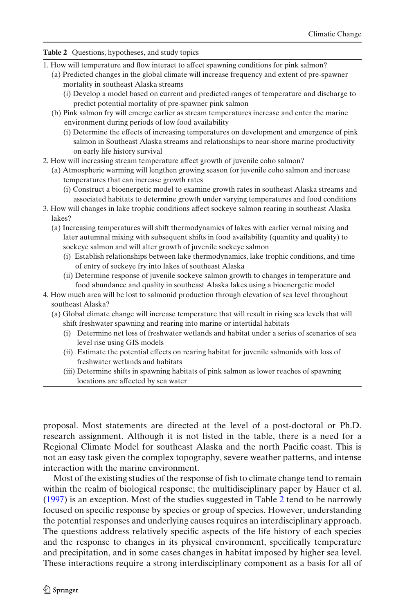<span id="page-17-0"></span>Table 2 Ouestions, hypotheses, and study topics

- 1. How will temperature and flow interact to affect spawning conditions for pink salmon?
	- (a) Predicted changes in the global climate will increase frequency and extent of pre-spawner mortality in southeast Alaska streams
		- (i) Develop a model based on current and predicted ranges of temperature and discharge to predict potential mortality of pre-spawner pink salmon
	- (b) Pink salmon fry will emerge earlier as stream temperatures increase and enter the marine environment during periods of low food availability
		- (i) Determine the effects of increasing temperatures on development and emergence of pink salmon in Southeast Alaska streams and relationships to near-shore marine productivity on early life history survival
- 2. How will increasing stream temperature affect growth of juvenile coho salmon?
	- (a) Atmospheric warming will lengthen growing season for juvenile coho salmon and increase temperatures that can increase growth rates
		- (i) Construct a bioenergetic model to examine growth rates in southeast Alaska streams and associated habitats to determine growth under varying temperatures and food conditions
- 3. How will changes in lake trophic conditions affect sockeye salmon rearing in southeast Alaska lakes?
	- (a) Increasing temperatures will shift thermodynamics of lakes with earlier vernal mixing and later autumnal mixing with subsequent shifts in food availability (quantity and quality) to sockeye salmon and will alter growth of juvenile sockeye salmon
		- (i) Establish relationships between lake thermodynamics, lake trophic conditions, and time of entry of sockeye fry into lakes of southeast Alaska
		- (ii) Determine response of juvenile sockeye salmon growth to changes in temperature and food abundance and quality in southeast Alaska lakes using a bioenergetic model
- 4. How much area will be lost to salmonid production through elevation of sea level throughout southeast Alaska?
	- (a) Global climate change will increase temperature that will result in rising sea levels that will shift freshwater spawning and rearing into marine or intertidal habitats
		- (i) Determine net loss of freshwater wetlands and habitat under a series of scenarios of sea level rise using GIS models
		- (ii) Estimate the potential effects on rearing habitat for juvenile salmonids with loss of freshwater wetlands and habitats
		- (iii) Determine shifts in spawning habitats of pink salmon as lower reaches of spawning locations are affected by sea water

proposal. Most statements are directed at the level of a post-doctoral or Ph.D. research assignment. Although it is not listed in the table, there is a need for a Regional Climate Model for southeast Alaska and the north Pacific coast. This is not an easy task given the complex topography, severe weather patterns, and intense interaction with the marine environment.

Most of the existing studies of the response of fish to climate change tend to remain within the realm of biological response; the multidisciplinary paper by Hauer et al[.](#page-20-0) [\(1997](#page-20-0)) is an exception. Most of the studies suggested in Table 2 tend to be narrowly focused on specific response by species or group of species. However, understanding the potential responses and underlying causes requires an interdisciplinary approach. The questions address relatively specific aspects of the life history of each species and the response to changes in its physical environment, specifically temperature and precipitation, and in some cases changes in habitat imposed by higher sea level. These interactions require a strong interdisciplinary component as a basis for all of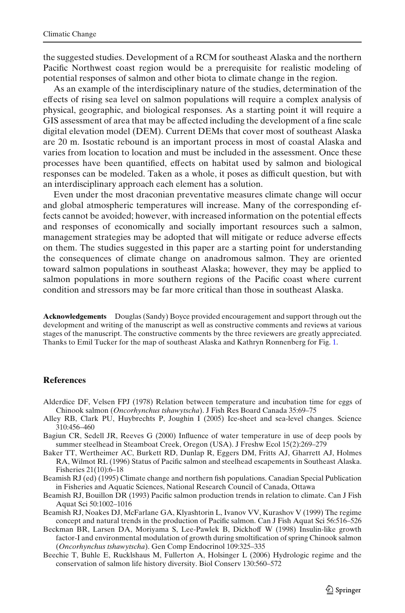<span id="page-18-0"></span>the suggested studies. Development of a RCM for southeast Alaska and the northern Pacific Northwest coast region would be a prerequisite for realistic modeling of potential responses of salmon and other biota to climate change in the region.

As an example of the interdisciplinary nature of the studies, determination of the effects of rising sea level on salmon populations will require a complex analysis of physical, geographic, and biological responses. As a starting point it will require a GIS assessment of area that may be affected including the development of a fine scale digital elevation model (DEM). Current DEMs that cover most of southeast Alaska are 20 m. Isostatic rebound is an important process in most of coastal Alaska and varies from location to location and must be included in the assessment. Once these processes have been quantified, effects on habitat used by salmon and biological responses can be modeled. Taken as a whole, it poses as difficult question, but with an interdisciplinary approach each element has a solution.

Even under the most draconian preventative measures climate change will occur and global atmospheric temperatures will increase. Many of the corresponding effects cannot be avoided; however, with increased information on the potential effects and responses of economically and socially important resources such a salmon, management strategies may be adopted that will mitigate or reduce adverse effects on them. The studies suggested in this paper are a starting point for understanding the consequences of climate change on anadromous salmon. They are oriented toward salmon populations in southeast Alaska; however, they may be applied to salmon populations in more southern regions of the Pacific coast where current condition and stressors may be far more critical than those in southeast Alaska.

**Acknowledgements** Douglas (Sandy) Boyce provided encouragement and support through out the development and writing of the manuscript as well as constructive comments and reviews at various stages of the manuscript. The constructive comments by the three reviewers are greatly appreciated. Thanks to Emil Tucker for the map of southeast Alaska and Kathryn Ronnenberg for Fig. [1.](#page-2-0)

## **References**

- Alderdice DF, Velsen FPJ (1978) Relation between temperature and incubation time for eggs of Chinook salmon (*Oncorhynchus tshawytscha*). J Fish Res Board Canada 35:69–75
- Alley RB, Clark PU, Huybrechts P, Joughin I (2005) Ice-sheet and sea-level changes. Science 310:456–460
- Bagiun CR, Sedell JR, Reeves G (2000) Influence of water temperature in use of deep pools by summer steelhead in Steamboat Creek, Oregon (USA). J Freshw Ecol 15(2):269–279
- Baker TT, Wertheimer AC, Burkett RD, Dunlap R, Eggers DM, Fritts AJ, Gharrett AJ, Holmes RA, Wilmot RL (1996) Status of Pacific salmon and steelhead escapements in Southeast Alaska. Fisheries 21(10):6–18
- Beamish RJ (ed) (1995) Climate change and northern fish populations. Canadian Special Publication in Fisheries and Aquatic Sciences, National Research Council of Canada, Ottawa
- Beamish RJ, Bouillon DR (1993) Pacific salmon production trends in relation to climate. Can J Fish Aquat Sci 50:1002–1016
- Beamish RJ, Noakes DJ, McFarlane GA, Klyashtorin L, Ivanov VV, Kurashov V (1999) The regime concept and natural trends in the production of Pacific salmon. Can J Fish Aquat Sci 56:516–526
- Beckman BR, Larsen DA, Moriyama S, Lee-Pawlek B, Dickhoff W (1998) Insulin-like growth factor-I and environmental modulation of growth during smoltification of spring Chinook salmon (*Oncorhynchus tshawytscha*). Gen Comp Endocrinol 109:325–335
- Beechie T, Buhle E, Rucklshaus M, Fullerton A, Holsinger L (2006) Hydrologic regime and the conservation of salmon life history diversity. Biol Conserv 130:560–572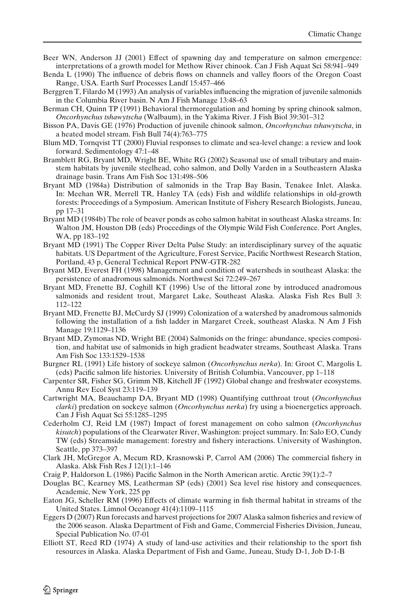- <span id="page-19-0"></span>Beer WN, Anderson JJ (2001) Effect of spawning day and temperature on salmon emergence: interpretations of a growth model for Methow River chinook. Can J Fish Aquat Sci 58:941–949
- Benda L (1990) The influence of debris flows on channels and valley floors of the Oregon Coast Range, USA. Earth Surf Processes Landf 15:457–466
- Berggren T, Filardo M (1993) An analysis of variables influencing the migration of juvenile salmonids in the Columbia River basin. N Am J Fish Manage 13:48–63
- Berman CH, Quinn TP (1991) Behavioral thermoregulation and homing by spring chinook salmon, *Oncorhynchus tshawytscha* (Walbaum), in the Yakima River. J Fish Biol 39:301–312
- Bisson PA, Davis GE (1976) Production of juvenile chinook salmon, *Oncorhynchus tshawytscha*, in a heated model stream. Fish Bull 74(4):763–775
- Blum MD, Tornqvist TT (2000) Fluvial responses to climate and sea-level change: a review and look forward. Sedimentology 47:1–48
- Bramblett RG, Bryant MD, Wright BE, White RG (2002) Seasonal use of small tributary and mainstem habitats by juvenile steelhead, coho salmon, and Dolly Varden in a Southeastern Alaska drainage basin. Trans Am Fish Soc 131:498–506
- Bryant MD (1984a) Distribution of salmonids in the Trap Bay Basin, Tenakee Inlet. Alaska. In: Meehan WR, Merrell TR, Hanley TA (eds) Fish and wildlife relationships in old-growth forests: Proceedings of a Symposium. American Institute of Fishery Research Biologists, Juneau, pp 17–31
- Bryant MD (1984b) The role of beaver ponds as coho salmon habitat in southeast Alaska streams. In: Walton JM, Houston DB (eds) Proceedings of the Olympic Wild Fish Conference. Port Angles, WA, pp 183–192
- Bryant MD (1991) The Copper River Delta Pulse Study: an interdisciplinary survey of the aquatic habitats. US Department of the Agriculture, Forest Service, Pacific Northwest Research Station, Portland, 43 p, General Technical Report PNW-GTR-282
- Bryant MD, Everest FH (1998) Management and condition of watersheds in southeast Alaska: the persistence of anadromous salmonids. Northwest Sci 72:249–267
- Bryant MD, Frenette BJ, Coghill KT (1996) Use of the littoral zone by introduced anadromous salmonids and resident trout, Margaret Lake, Southeast Alaska. Alaska Fish Res Bull 3: 112–122
- Bryant MD, Frenette BJ, McCurdy SJ (1999) Colonization of a watershed by anadromous salmonids following the installation of a fish ladder in Margaret Creek, southeast Alaska. N Am J Fish Manage 19:1129–1136
- Bryant MD, Zymonas ND, Wright BE (2004) Salmonids on the fringe: abundance, species composition, and habitat use of salmonids in high gradient headwater streams, Southeast Alaska. Trans Am Fish Soc 133:1529–1538
- Burgner RL (1991) Life history of sockeye salmon (*Oncorhynchus nerka*). In: Groot C, Margolis L (eds) Pacific salmon life histories. University of British Columbia, Vancouver, pp 1–118
- Carpenter SR, Fisher SG, Grimm NB, Kitchell JF (1992) Global change and freshwater ecosystems. Annu Rev Ecol Syst 23:119–139
- Cartwright MA, Beauchamp DA, Bryant MD (1998) Quantifying cutthroat trout (*Oncorhynchus clarki*) predation on sockeye salmon (*Oncorhynchus nerka*) fry using a bioenergetics approach. Can J Fish Aquat Sci 55:1285–1295
- Cederholm CJ, Reid LM (1987) Impact of forest management on coho salmon (*Oncorhynchus kisutch*) populations of the Clearwater River, Washington: project summary. In: Salo EO, Cundy TW (eds) Streamside management: forestry and fishery interactions. University of Washington, Seattle, pp 373–397
- Clark JH, McGregor A, Mecum RD, Krasnowski P, Carrol AM (2006) The commercial fishery in Alaska. Alsk Fish Res J 12(1):1–146
- Craig P, Haldorson L (1986) Pacific Salmon in the North American arctic. Arctic 39(1):2–7
- Douglas BC, Kearney MS, Leatherman SP (eds) (2001) Sea level rise history and consequences. Academic, New York, 225 pp
- Eaton JG, Scheller RM (1996) Effects of climate warming in fish thermal habitat in streams of the United States. Limnol Oceanogr 41(4):1109–1115
- Eggers D (2007) Run forecasts and harvest projections for 2007 Alaska salmon fisheries and review of the 2006 season. Alaska Department of Fish and Game, Commercial Fisheries Division, Juneau, Special Publication No. 07-01
- Elliott ST, Reed RD (1974) A study of land-use activities and their relationship to the sport fish resources in Alaska. Alaska Department of Fish and Game, Juneau, Study D-1, Job D-1-B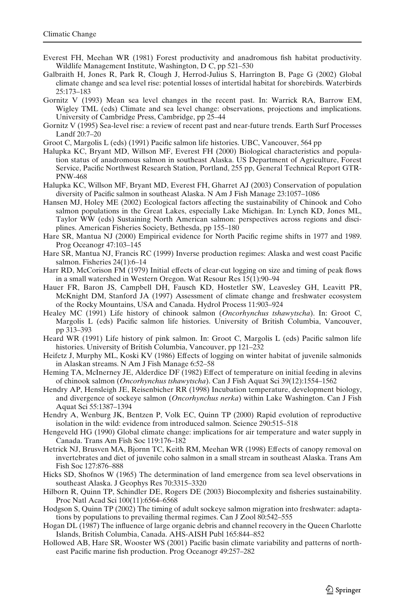- <span id="page-20-0"></span>Everest FH, Meehan WR (1981) Forest productivity and anadromous fish habitat productivity. Wildlife Management Institute, Washington, D C, pp 521–530
- Galbraith H, Jones R, Park R, Clough J, Herrod-Julius S, Harrington B, Page G (2002) Global climate change and sea level rise: potential losses of intertidal habitat for shorebirds. Waterbirds 25:173–183
- Gornitz V (1993) Mean sea level changes in the recent past. In: Warrick RA, Barrow EM, Wigley TML (eds) Climate and sea level change: observations, projections and implications. University of Cambridge Press, Cambridge, pp 25–44
- Gornitz V (1995) Sea-level rise: a review of recent past and near-future trends. Earth Surf Processes Landf 20:7–20
- Groot C, Margolis L (eds) (1991) Pacific salmon life histories. UBC, Vancouver, 564 pp
- Halupka KC, Bryant MD, Willson MF, Everest FH (2000) Biological characteristics and population status of anadromous salmon in southeast Alaska. US Department of Agriculture, Forest Service, Pacific Northwest Research Station, Portland, 255 pp, General Technical Report GTR-PNW-468
- Halupka KC, Willson MF, Bryant MD, Everest FH, Gharret AJ (2003) Conservation of population diversity of Pacific salmon in southeast Alaska. N Am J Fish Manage 23:1057–1086
- Hansen MJ, Holey ME (2002) Ecological factors affecting the sustainability of Chinook and Coho salmon populations in the Great Lakes, especially Lake Michigan. In: Lynch KD, Jones ML, Taylor WW (eds) Sustaining North American salmon: perspectives across regions and disciplines. American Fisheries Society, Bethesda, pp 155–180
- Hare SR, Mantua NJ (2000) Empirical evidence for North Pacific regime shifts in 1977 and 1989. Prog Oceanogr 47:103–145
- Hare SR, Mantua NJ, Francis RC (1999) Inverse production regimes: Alaska and west coast Pacific salmon. Fisheries 24(1):6–14
- Harr RD, McCorison FM (1979) Initial effects of clear-cut logging on size and timing of peak flows in a small watershed in Western Oregon. Wat Resour Res 15(1):90–94
- Hauer FR, Baron JS, Campbell DH, Fausch KD, Hostetler SW, Leavesley GH, Leavitt PR, McKnight DM, Stanford JA (1997) Assessment of climate change and freshwater ecosystem of the Rocky Mountains, USA and Canada. Hydrol Process 11:903–924
- Healey MC (1991) Life history of chinook salmon (*Oncorhynchus tshawytscha*). In: Groot C, Margolis L (eds) Pacific salmon life histories. University of British Columbia, Vancouver, pp 313–393
- Heard WR (1991) Life history of pink salmon. In: Groot C, Margolis L (eds) Pacific salmon life histories. University of British Columbia, Vancouver, pp 121–232
- Heifetz J, Murphy ML, Koski KV (1986) Effects of logging on winter habitat of juvenile salmonids in Alaskan streams. N Am J Fish Manage 6:52–58
- Heming TA, McInerney JE, Alderdice DF (1982) Effect of temperature on initial feeding in alevins of chinook salmon (*Oncorhynchus tshawytscha*). Can J Fish Aquat Sci 39(12):1554–1562
- Hendry AP, Hensleigh JE, Reisenbicher RR (1998) Incubation temperature, development biology, and divergence of sockeye salmon (*Oncorhynchus nerka*) within Lake Washington. Can J Fish Aquat Sci 55:1387–1394
- Hendry A, Wenburg JK, Bentzen P, Volk EC, Quinn TP (2000) Rapid evolution of reproductive isolation in the wild: evidence from introduced salmon. Science 290:515–518
- Hengeveld HG (1990) Global climate change: implications for air temperature and water supply in Canada. Trans Am Fish Soc 119:176–182
- Hetrick NJ, Brusven MA, Bjornn TC, Keith RM, Meehan WR (1998) Effects of canopy removal on invertebrates and diet of juvenile coho salmon in a small stream in southeast Alaska. Trans Am Fish Soc 127:876–888
- Hicks SD, Shofnos W (1965) The determination of land emergence from sea level observations in southeast Alaska. J Geophys Res 70:3315–3320
- Hilborn R, Quinn TP, Schindler DE, Rogers DE (2003) Biocomplexity and fisheries sustainability. Proc Natl Acad Sci 100(11):6564–6568
- Hodgson S, Quinn TP (2002) The timing of adult sockeye salmon migration into freshwater: adaptations by populations to prevailing thermal regimes. Can J Zool 80:542–555
- Hogan DL (1987) The influence of large organic debris and channel recovery in the Queen Charlotte Islands, British Columbia, Canada. AHS-AISH Publ 165:844–852
- Hollowed AB, Hare SR, Wooster WS (2001) Pacific basin climate variability and patterns of northeast Pacific marine fish production. Prog Oceanogr 49:257–282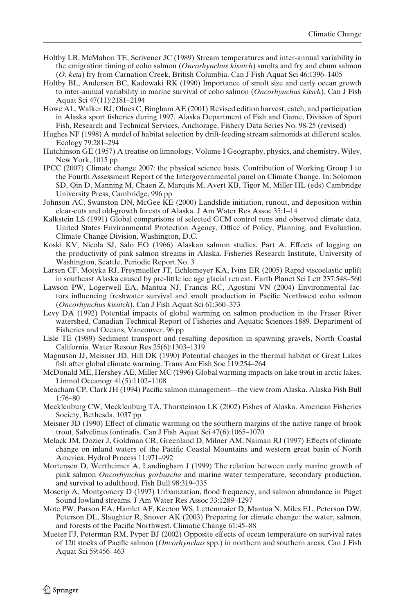- <span id="page-21-0"></span>Holtby LB, McMahon TE, Scrivener JC (1989) Stream temperatures and inter-annual variability in the emigration timing of coho salmon (*Oncorhynchus kisutch*) smolts and fry and chum salmon (*O. keta*) fry from Carnation Creek, British Columbia. Can J Fish Aquat Sci 46:1396–1405
- Holtby BL, Andersen BC, Kadowaki RK (1990) Importance of smolt size and early ocean growth to inter-annual variability in marine survival of coho salmon (*Oncorhynchus kitsch*). Can J Fish Aquat Sci 47(11):2181–2194
- Howe AL, Walker RJ, Olnes C, Bingham AE (2001) Revised edition harvest, catch, and participation in Alaska sport fisheries during 1997. Alaska Department of Fish and Game, Division of Sport Fish, Research and Technical Services, Anchorage, Fishery Data Series No. 98-25 (revised)
- Hughes NF (1998) A model of habitat selection by drift-feeding stream salmonids at different scales. Ecology 79:281–294
- Hutchinson GE (1957) A treatise on limnology. Volume I Geography, physics, and chemistry. Wiley, New York, 1015 pp
- IPCC (2007) Climate change 2007: the physical science basis. Contribution of Working Group I to the Fourth Assessment Report of the Intergovernmental panel on Climate Change. In: Solomon SD, Qin D, Manning M, Chaen Z, Marquis M, Avert KB, Tigor M, Miller HL (eds) Cambridge University Press, Cambridge, 996 pp
- Johnson AC, Swanston DN, McGee KE (2000) Landslide initiation, runout, and deposition within clear-cuts and old-growth forests of Alaska. J Am Water Res Assoc 35:1–14
- Kalkstein LS (1991) Global comparisons of selected GCM control runs and observed climate data. United States Environmental Protection Agency, Office of Policy, Planning, and Evaluation, Climate Change Division, Washington, D.C.
- Koski KV, Nicola SJ, Salo EO (1966) Alaskan salmon studies. Part A. Effects of logging on the productivity of pink salmon streams in Alaska. Fisheries Research Institute, University of Washington, Seattle, Periodic Report No. 3
- Larsen CF, Motyka RJ, Freymueller JT, Echlemeyer KA, Ivins ER (2005) Rapid viscoelastic uplift in southeast Alaska caused by pre-little ice age glacial retreat. Earth Planet Sci Lett 237:548–560
- Lawson PW, Logerwell EA, Mantua NJ, Francis RC, Agostini VN (2004) Environmental factors influencing freshwater survival and smolt production in Pacific Northwest coho salmon (*Oncorhynchus kisutch*). Can J Fish Aquat Sci 61:360–373
- Levy DA (1992) Potential impacts of global warming on salmon production in the Fraser River watershed. Canadian Technical Report of Fisheries and Aquatic Sciences 1889. Department of Fisheries and Oceans, Vancouver, 96 pp
- Lisle TE (1989) Sediment transport and resulting deposition in spawning gravels, North Coastal California. Water Resour Res 25(6):1303–1319
- Magnuson JJ, Meisner JD, Hill DK (1990) Potential changes in the thermal habitat of Great Lakes fish after global climate warming. Trans Am Fish Soc 119:254–264
- McDonald ME, Hershey AE, Miller MC (1996) Global warming impacts on lake trout in arctic lakes. Limnol Oceanogr 41(5):1102–1108
- Meacham CP, Clark JH (1994) Pacific salmon management—the view from Alaska. Alaska Fish Bull 1:76–80
- Mecklenburg CW, Mecklenburg TA, Thorsteinson LK (2002) Fishes of Alaska. American Fisheries Society, Bethesda, 1037 pp
- Meisner JD (1990) Effect of climatic warming on the southern margins of the native range of brook trout, Salvelinus fontinalis. Can J Fish Aquat Sci 47(6):1065–1070
- Melack JM, Dozier J, Goldman CR, Greenland D, Milner AM, Naiman RJ (1997) Effects of climate change on inland waters of the Pacific Coastal Mountains and western great basin of North America. Hydrol Process 11:971–992
- Mortensen D, Wertheimer A, Landingham J (1999) The relation between early marine growth of pink salmon *Oncorhynchus gorbuscha* and marine water temperature, secondary production, and survival to adulthood. Fish Bull 98:319–335
- Moscrip A, Montgomery D (1997) Urbanization, flood frequency, and salmon abundance in Puget Sound lowland streams. J Am Water Res Assoc 33:1289–1297
- Mote PW, Parson EA, Hamlet AF, Keeton WS, Lettenmaier D, Mantua N, Miles EL, Peterson DW, Peterson DL, Slaughter R, Snover AK (2003) Preparing for climate change: the water, salmon, and forests of the Pacific Northwest. Climatic Change 61:45–88
- Mueter FJ, Peterman RM, Pyper BJ (2002) Opposite effects of ocean temperature on survival rates of 120 stocks of Pacific salmon (*Oncorhynchus* spp.) in northern and southern areas. Can J Fish Aquat Sci 59:456–463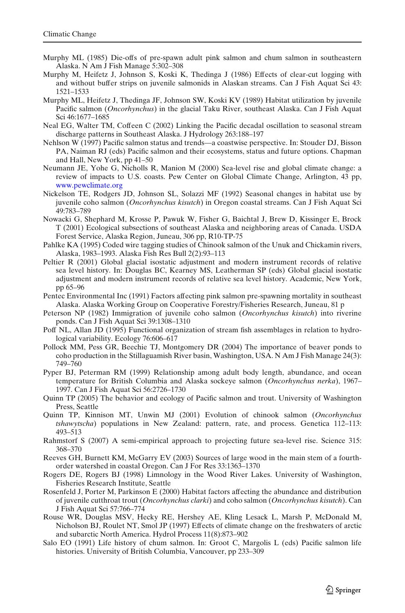- <span id="page-22-0"></span>Murphy ML (1985) Die-offs of pre-spawn adult pink salmon and chum salmon in southeastern Alaska. N Am J Fish Manage 5:302–308
- Murphy M, Heifetz J, Johnson S, Koski K, Thedinga J (1986) Effects of clear-cut logging with and without buffer strips on juvenile salmonids in Alaskan streams. Can J Fish Aquat Sci 43: 1521–1533
- Murphy ML, Heifetz J, Thedinga JF, Johnson SW, Koski KV (1989) Habitat utilization by juvenile Pacific salmon (*Oncorhynchus*) in the glacial Taku River, southeast Alaska. Can J Fish Aquat Sci 46:1677–1685
- Neal EG, Walter TM, Coffeen C (2002) Linking the Pacific decadal oscillation to seasonal stream discharge patterns in Southeast Alaska. J Hydrology 263:188–197
- Nehlson W (1997) Pacific salmon status and trends—a coastwise perspective. In: Stouder DJ, Bisson PA, Naiman RJ (eds) Pacific salmon and their ecosystems, status and future options. Chapman and Hall, New York, pp 41–50
- Neumann JE, Yohe G, Nicholls R, Manion M (2000) Sea-level rise and global climate change: a review of impacts to U.S. coasts. Pew Center on Global Climate Change, Arlington, 43 pp, [www.pewclimate.org](http://www.pewclimate.org)
- Nickelson TE, Rodgers JD, Johnson SL, Solazzi MF (1992) Seasonal changes in habitat use by juvenile coho salmon (*Oncorhynchus kisutch*) in Oregon coastal streams. Can J Fish Aquat Sci 49:783–789
- Nowacki G, Shephard M, Krosse P, Pawuk W, Fisher G, Baichtal J, Brew D, Kissinger E, Brock T (2001) Ecological subsections of southeast Alaska and neighboring areas of Canada. USDA Forest Service, Alaska Region, Juneau, 306 pp, R10-TP-75
- Pahlke KA (1995) Coded wire tagging studies of Chinook salmon of the Unuk and Chickamin rivers, Alaska, 1983–1993. Alaska Fish Res Bull 2(2):93–113
- Peltier R (2001) Global glacial isostatic adjustment and modern instrument records of relative sea level history. In: Douglas BC, Kearney MS, Leatherman SP (eds) Global glacial isostatic adjustment and modern instrument records of relative sea level history. Academic, New York, pp 65–96
- Pentec Environmental Inc (1991) Factors affecting pink salmon pre-spawning mortality in southeast Alaska. Alaska Working Group on Cooperative Forestry/Fisheries Research, Juneau, 81 p
- Peterson NP (1982) Immigration of juvenile coho salmon (*Oncorhynchus kisutch*) into riverine ponds. Can J Fish Aquat Sci 39:1308–1310
- Poff NL, Allan JD (1995) Functional organization of stream fish assemblages in relation to hydrological variability. Ecology 76:606–617
- Pollock MM, Pess GR, Beechie TJ, Montgomery DR (2004) The importance of beaver ponds to coho production in the Stillaguamish River basin, Washington, USA. N Am J Fish Manage 24(3): 749–760
- Pyper BJ, Peterman RM (1999) Relationship among adult body length, abundance, and ocean temperature for British Columbia and Alaska sockeye salmon (*Oncorhynchus nerka*), 1967– 1997. Can J Fish Aquat Sci 56:2726–1730
- Quinn TP (2005) The behavior and ecology of Pacific salmon and trout. University of Washington Press, Seattle
- Quinn TP, Kinnison MT, Unwin MJ (2001) Evolution of chinook salmon (*Oncorhynchus tshawytscha*) populations in New Zealand: pattern, rate, and process. Genetica 112–113: 493–513
- Rahmstorf S (2007) A semi-empirical approach to projecting future sea-level rise. Science 315: 368–370
- Reeves GH, Burnett KM, McGarry EV (2003) Sources of large wood in the main stem of a fourthorder watershed in coastal Oregon. Can J For Res 33:1363–1370
- Rogers DE, Rogers BJ (1998) Limnology in the Wood River Lakes. University of Washington, Fisheries Research Institute, Seattle
- Rosenfeld J, Porter M, Parkinson E (2000) Habitat factors affecting the abundance and distribution of juvenile cutthroat trout (*Oncorhynchus clarki*) and coho salmon (*Oncorhynchus kisutch*). Can J Fish Aquat Sci 57:766–774
- Rouse WR, Douglas MSV, Hecky RE, Hershey AE, Kling Lesack L, Marsh P, McDonald M, Nicholson BJ, Roulet NT, Smol JP (1997) Effects of climate change on the freshwaters of arctic and subarctic North America. Hydrol Process 11(8):873–902
- Salo EO (1991) Life history of chum salmon. In: Groot C, Margolis L (eds) Pacific salmon life histories. University of British Columbia, Vancouver, pp 233–309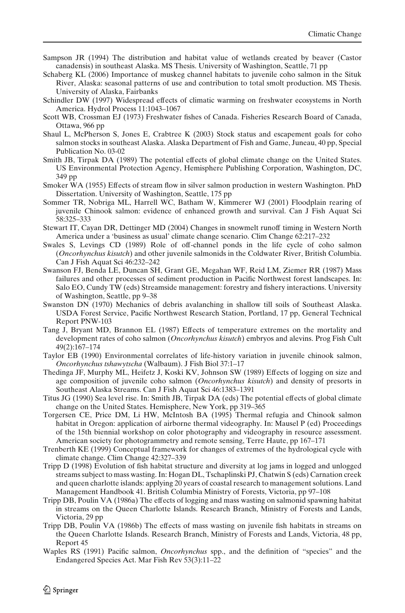- <span id="page-23-0"></span>Sampson JR (1994) The distribution and habitat value of wetlands created by beaver (Castor canadensis) in southeast Alaska. MS Thesis. University of Washington, Seattle, 71 pp
- Schaberg KL (2006) Importance of muskeg channel habitats to juvenile coho salmon in the Situk River, Alaska: seasonal patterns of use and contribution to total smolt production. MS Thesis. University of Alaska, Fairbanks
- Schindler DW (1997) Widespread effects of climatic warming on freshwater ecosystems in North America. Hydrol Process 11:1043–1067
- Scott WB, Crossman EJ (1973) Freshwater fishes of Canada. Fisheries Research Board of Canada, Ottawa, 966 pp
- Shaul L, McPherson S, Jones E, Crabtree K (2003) Stock status and escapement goals for coho salmon stocks in southeast Alaska. Alaska Department of Fish and Game, Juneau, 40 pp, Special Publication No. 03-02
- Smith JB, Tirpak DA (1989) The potential effects of global climate change on the United States. US Environmental Protection Agency, Hemisphere Publishing Corporation, Washington, DC, 349 pp
- Smoker WA (1955) Effects of stream flow in silver salmon production in western Washington. PhD Dissertation. University of Washington, Seattle, 175 pp
- Sommer TR, Nobriga ML, Harrell WC, Batham W, Kimmerer WJ (2001) Floodplain rearing of juvenile Chinook salmon: evidence of enhanced growth and survival. Can J Fish Aquat Sci 58:325–333
- Stewart IT, Cayan DR, Dettinger MD (2004) Changes in snowmelt runoff timing in Western North America under a 'business as usual' climate change scenario. Clim Change 62:217–232
- Swales S, Levings CD (1989) Role of off-channel ponds in the life cycle of coho salmon (*Oncorhynchus kisutch*) and other juvenile salmonids in the Coldwater River, British Columbia. Can J Fish Aquat Sci 46:232–242
- Swanson FJ, Benda LE, Duncan SH, Grant GE, Megahan WF, Reid LM, Ziemer RR (1987) Mass failures and other processes of sediment production in Pacific Northwest forest landscapes. In: Salo EO, Cundy TW (eds) Streamside management: forestry and fishery interactions. University of Washington, Seattle, pp 9–38
- Swanston DN (1970) Mechanics of debris avalanching in shallow till soils of Southeast Alaska. USDA Forest Service, Pacific Northwest Research Station, Portland, 17 pp, General Technical Report PNW-103
- Tang J, Bryant MD, Brannon EL (1987) Effects of temperature extremes on the mortality and development rates of coho salmon (*Oncorhynchus kisutch*) embryos and alevins. Prog Fish Cult 49(2):167–174
- Taylor EB (1990) Environmental correlates of life-history variation in juvenile chinook salmon, *Oncorhynchus tshawytscha* (Walbaum). J Fish Biol 37:1–17
- Thedinga JF, Murphy ML, Heifetz J, Koski KV, Johnson SW (1989) Effects of logging on size and age composition of juvenile coho salmon (*Oncorhynchus kisutch*) and density of presorts in Southeast Alaska Streams. Can J Fish Aquat Sci 46:1383–1391
- Titus JG (1990) Sea level rise. In: Smith JB, Tirpak DA (eds) The potential effects of global climate change on the United States. Hemisphere, New York, pp 319–365
- Torgersen CE, Price DM, Li HW, McIntosh BA (1995) Thermal refugia and Chinook salmon habitat in Oregon: application of airborne thermal videography. In: Mausel P (ed) Proceedings of the 15th biennial workshop on color photography and videography in resource assessment. American society for photogrammetry and remote sensing, Terre Haute, pp 167–171
- Trenberth KE (1999) Conceptual framework for changes of extremes of the hydrological cycle with climate change. Clim Change 42:327–339
- Tripp D (1998) Evolution of fish habitat structure and diversity at log jams in logged and unlogged streams subject to mass wasting. In: Hogan DL, Tschaplinski PJ, Chatwin S (eds) Carnation creek and queen charlotte islands: applying 20 years of coastal research to management solutions. Land Management Handbook 41. British Columbia Ministry of Forests, Victoria, pp 97–108
- Tripp DB, Poulin VA (1986a) The effects of logging and mass wasting on salmonid spawning habitat in streams on the Queen Charlotte Islands. Research Branch, Ministry of Forests and Lands, Victoria, 29 pp
- Tripp DB, Poulin VA (1986b) The effects of mass wasting on juvenile fish habitats in streams on the Queen Charlotte Islands. Research Branch, Ministry of Forests and Lands, Victoria, 48 pp, Report 45
- Waples RS (1991) Pacific salmon, *Oncorhynchus* spp., and the definition of "species" and the Endangered Species Act. Mar Fish Rev 53(3):11–22